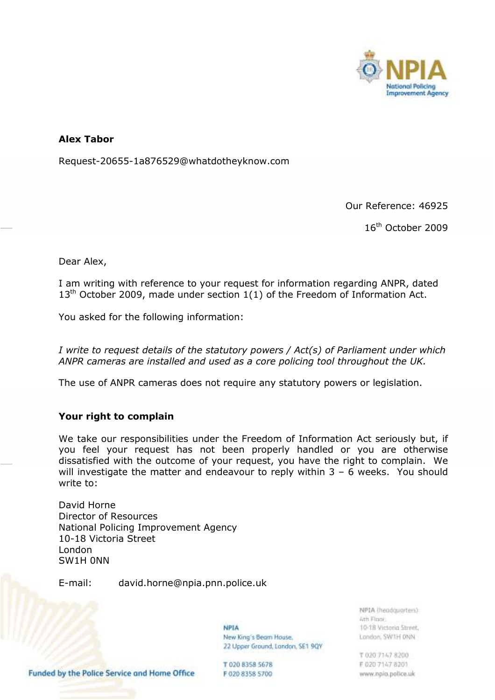

## Alex Tabor

Request-20655-1a876529@whatdotheyknow.com

Our Reference: 46925

16th October 2009

Dear Alex,

I am writing with reference to your request for information regarding ANPR, dated  $13<sup>th</sup>$  October 2009, made under section 1(1) of the Freedom of Information Act.

You asked for the following information:

I write to request details of the statutory powers / Act(s) of Parliament under which ANPR cameras are installed and used as a core policing tool throughout the UK.

The use of ANPR cameras does not require any statutory powers or legislation.

## Your right to complain

We take our responsibilities under the Freedom of Information Act seriously but, if you feel your request has not been properly handled or you are otherwise dissatisfied with the outcome of your request, you have the right to complain. We will investigate the matter and endeavour to reply within 3 - 6 weeks. You should write to:

David Horne Director of Resources National Policing Improvement Agency 10-18 Victoria Street London SW1H 0NN

E-mail: david.horne@npia.pnn.police.uk

**NPIA** New King's Beam House. 22 Upper Ground, London, SE1 9QY NPIA (headquarters): Ath Floor. 10-18 Victoria Street. London, SW1H ONN

T 020 7147 8200 F 020 7147 8201 www.npia.police.uk

Funded by the Police Service and Home Office

T 020 8358 5678 F 020 8358 5700